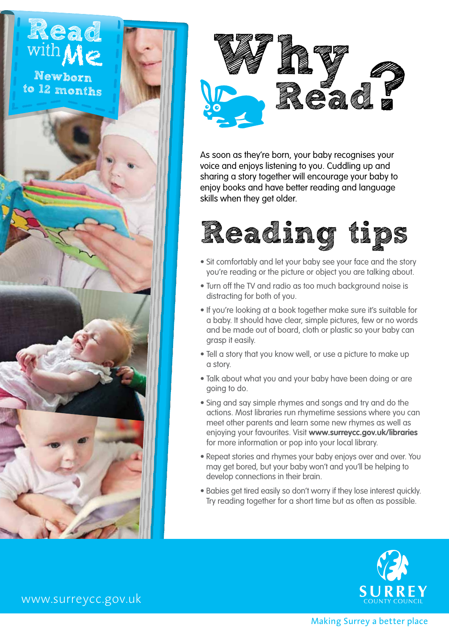



As soon as they're born, your baby recognises your voice and enjoys listening to you. Cuddling up and sharing a story together will encourage your baby to enjoy books and have better reading and language skills when they get older.



- Sit comfortably and let your baby see your face and the story you're reading or the picture or object you are talking about.
- Turn off the TV and radio as too much background noise is distracting for both of you.
- If you're looking at a book together make sure it's suitable for a baby. It should have clear, simple pictures, few or no words and be made out of board, cloth or plastic so your baby can grasp it easily.
- Tell a story that you know well, or use a picture to make up a story.
- Talk about what you and your baby have been doing or are going to do.
- Sing and say simple rhymes and songs and try and do the actions. Most libraries run rhymetime sessions where you can meet other parents and learn some new rhymes as well as enjoying your favourites. Visit **www.surreycc.gov.uk/libraries**  for more information or pop into your local library.
- Repeat stories and rhymes your baby enjoys over and over. You may get bored, but your baby won't and you'll be helping to develop connections in their brain.
- Babies get tired easily so don't worry if they lose interest quickly. Try reading together for a short time but as often as possible.



www.surreycc.gov.uk

Making Surrey a better place